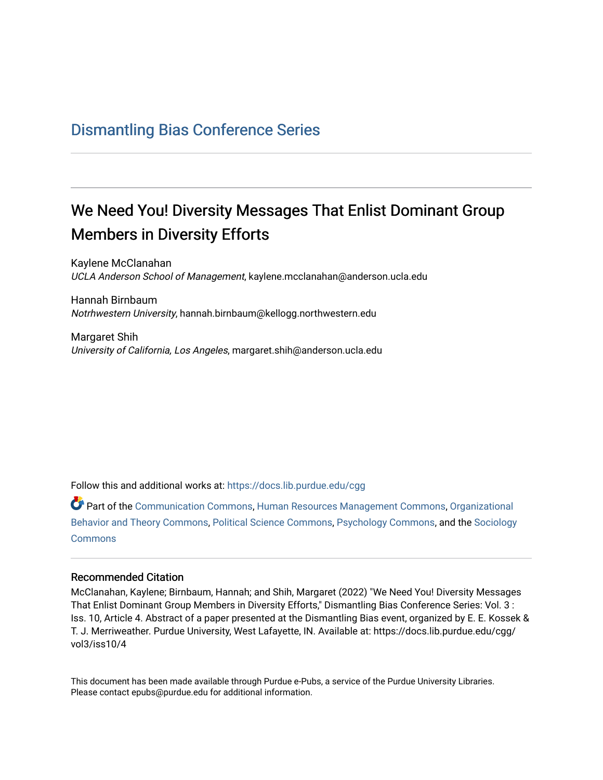## [Dismantling Bias Conference Series](https://docs.lib.purdue.edu/cgg)

## We Need You! Diversity Messages That Enlist Dominant Group Members in Diversity Efforts

Kaylene McClanahan UCLA Anderson School of Management, kaylene.mcclanahan@anderson.ucla.edu

Hannah Birnbaum Notrhwestern University, hannah.birnbaum@kellogg.northwestern.edu

Margaret Shih University of California, Los Angeles, margaret.shih@anderson.ucla.edu

Follow this and additional works at: [https://docs.lib.purdue.edu/cgg](https://docs.lib.purdue.edu/cgg?utm_source=docs.lib.purdue.edu%2Fcgg%2Fvol3%2Fiss10%2F4&utm_medium=PDF&utm_campaign=PDFCoverPages)

Part of the [Communication Commons,](https://network.bepress.com/hgg/discipline/325?utm_source=docs.lib.purdue.edu%2Fcgg%2Fvol3%2Fiss10%2F4&utm_medium=PDF&utm_campaign=PDFCoverPages) [Human Resources Management Commons,](https://network.bepress.com/hgg/discipline/633?utm_source=docs.lib.purdue.edu%2Fcgg%2Fvol3%2Fiss10%2F4&utm_medium=PDF&utm_campaign=PDFCoverPages) [Organizational](https://network.bepress.com/hgg/discipline/639?utm_source=docs.lib.purdue.edu%2Fcgg%2Fvol3%2Fiss10%2F4&utm_medium=PDF&utm_campaign=PDFCoverPages) [Behavior and Theory Commons,](https://network.bepress.com/hgg/discipline/639?utm_source=docs.lib.purdue.edu%2Fcgg%2Fvol3%2Fiss10%2F4&utm_medium=PDF&utm_campaign=PDFCoverPages) [Political Science Commons,](https://network.bepress.com/hgg/discipline/386?utm_source=docs.lib.purdue.edu%2Fcgg%2Fvol3%2Fiss10%2F4&utm_medium=PDF&utm_campaign=PDFCoverPages) [Psychology Commons,](https://network.bepress.com/hgg/discipline/404?utm_source=docs.lib.purdue.edu%2Fcgg%2Fvol3%2Fiss10%2F4&utm_medium=PDF&utm_campaign=PDFCoverPages) and the [Sociology](https://network.bepress.com/hgg/discipline/416?utm_source=docs.lib.purdue.edu%2Fcgg%2Fvol3%2Fiss10%2F4&utm_medium=PDF&utm_campaign=PDFCoverPages) **[Commons](https://network.bepress.com/hgg/discipline/416?utm_source=docs.lib.purdue.edu%2Fcgg%2Fvol3%2Fiss10%2F4&utm_medium=PDF&utm_campaign=PDFCoverPages)** 

## Recommended Citation

McClanahan, Kaylene; Birnbaum, Hannah; and Shih, Margaret (2022) "We Need You! Diversity Messages That Enlist Dominant Group Members in Diversity Efforts," Dismantling Bias Conference Series: Vol. 3 : Iss. 10, Article 4. Abstract of a paper presented at the Dismantling Bias event, organized by E. E. Kossek & T. J. Merriweather. Purdue University, West Lafayette, IN. Available at: https://docs.lib.purdue.edu/cgg/ vol3/iss10/4

This document has been made available through Purdue e-Pubs, a service of the Purdue University Libraries. Please contact epubs@purdue.edu for additional information.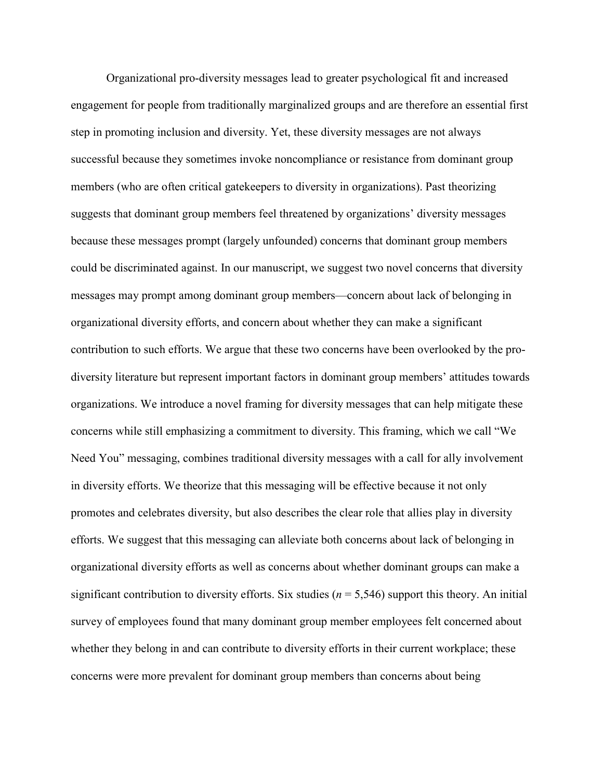Organizational pro-diversity messages lead to greater psychological fit and increased engagement for people from traditionally marginalized groups and are therefore an essential first members (who are often critical gatekeepers to diversity in organizations). Past theorizing suggests that dominant group members feel threatened by organizations' diversity messages organizational diversity efforts, and concern about whether they can make a significant contribution to such efforts. We argue that these two concerns have been overlooked by the pro- organizational diversity efforts as well as concerns about whether dominant groups can make a concerns were more prevalent for dominant group members than concerns about being step in promoting inclusion and diversity. Yet, these diversity messages are not always successful because they sometimes invoke noncompliance or resistance from dominant group because these messages prompt (largely unfounded) concerns that dominant group members could be discriminated against. In our manuscript, we suggest two novel concerns that diversity messages may prompt among dominant group members—concern about lack of belonging in diversity literature but represent important factors in dominant group members' attitudes towards organizations. We introduce a novel framing for diversity messages that can help mitigate these concerns while still emphasizing a commitment to diversity. This framing, which we call "We Need You" messaging, combines traditional diversity messages with a call for ally involvement in diversity efforts. We theorize that this messaging will be effective because it not only promotes and celebrates diversity, but also describes the clear role that allies play in diversity efforts. We suggest that this messaging can alleviate both concerns about lack of belonging in significant contribution to diversity efforts. Six studies ( $n = 5,546$ ) support this theory. An initial survey of employees found that many dominant group member employees felt concerned about whether they belong in and can contribute to diversity efforts in their current workplace; these